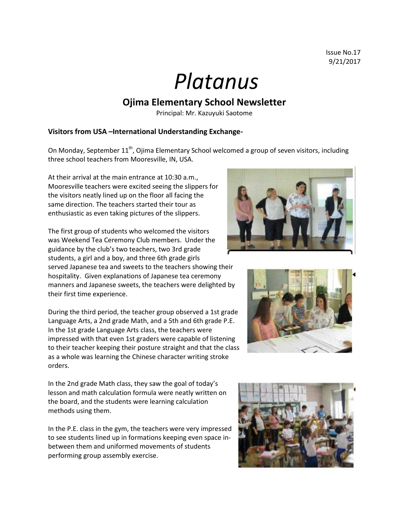## *Platanus*

## **Ojima Elementary School Newsletter**

Principal: Mr. Kazuyuki Saotome

## **Visitors from USA –International Understanding Exchange-**

On Monday, September 11<sup>th</sup>, Ojima Elementary School welcomed a group of seven visitors, including three school teachers from Mooresville, IN, USA.

At their arrival at the main entrance at 10:30 a.m., Mooresville teachers were excited seeing the slippers for the visitors neatly lined up on the floor all facing the same direction. The teachers started their tour as enthusiastic as even taking pictures of the slippers.

The first group of students who welcomed the visitors was Weekend Tea Ceremony Club members. Under the guidance by the club's two teachers, two 3rd grade students, a girl and a boy, and three 6th grade girls served Japanese tea and sweets to the teachers showing their hospitality. Given explanations of Japanese tea ceremony manners and Japanese sweets, the teachers were delighted by their first time experience.

During the third period, the teacher group observed a 1st grade Language Arts, a 2nd grade Math, and a 5th and 6th grade P.E. In the 1st grade Language Arts class, the teachers were impressed with that even 1st graders were capable of listening to their teacher keeping their posture straight and that the class as a whole was learning the Chinese character writing stroke orders.





In the 2nd grade Math class, they saw the goal of today's lesson and math calculation formula were neatly written on the board, and the students were learning calculation methods using them.

In the P.E. class in the gym, the teachers were very impressed to see students lined up in formations keeping even space inbetween them and uniformed movements of students performing group assembly exercise.

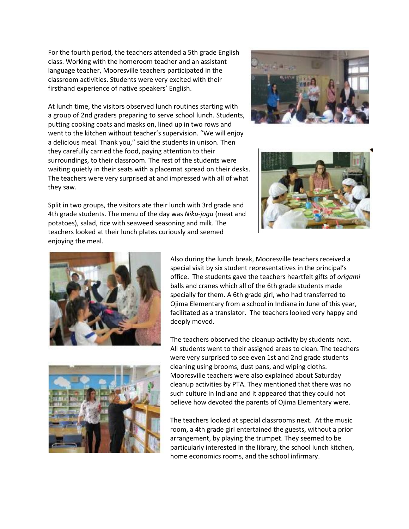For the fourth period, the teachers attended a 5th grade English class. Working with the homeroom teacher and an assistant language teacher, Mooresville teachers participated in the classroom activities. Students were very excited with their firsthand experience of native speakers' English.

At lunch time, the visitors observed lunch routines starting with a group of 2nd graders preparing to serve school lunch. Students, putting cooking coats and masks on, lined up in two rows and went to the kitchen without teacher's supervision. "We will enjoy a delicious meal. Thank you," said the students in unison. Then they carefully carried the food, paying attention to their surroundings, to their classroom. The rest of the students were waiting quietly in their seats with a placemat spread on their desks. The teachers were very surprised at and impressed with all of what they saw.





Split in two groups, the visitors ate their lunch with 3rd grade and 4th grade students. The menu of the day was *Niku-jaga* (meat and potatoes), salad, rice with seaweed seasoning and milk. The teachers looked at their lunch plates curiously and seemed enjoying the meal.



Also during the lunch break, Mooresville teachers received a special visit by six student representatives in the principal's office. The students gave the teachers heartfelt gifts of *origami* balls and cranes which all of the 6th grade students made specially for them. A 6th grade girl, who had transferred to Ojima Elementary from a school in Indiana in June of this year, facilitated as a translator. The teachers looked very happy and deeply moved.



The teachers observed the cleanup activity by students next. All students went to their assigned areas to clean. The teachers were very surprised to see even 1st and 2nd grade students cleaning using brooms, dust pans, and wiping cloths. Mooresville teachers were also explained about Saturday cleanup activities by PTA. They mentioned that there was no such culture in Indiana and it appeared that they could not believe how devoted the parents of Ojima Elementary were.

The teachers looked at special classrooms next. At the music room, a 4th grade girl entertained the guests, without a prior arrangement, by playing the trumpet. They seemed to be particularly interested in the library, the school lunch kitchen, home economics rooms, and the school infirmary.